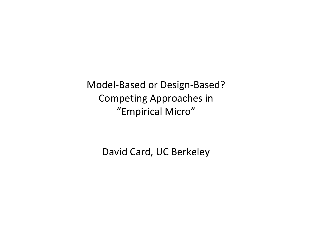Model‐Based or Design‐Based? Competing Approaches in "Empirical Micro"

David Card, UC Berkeley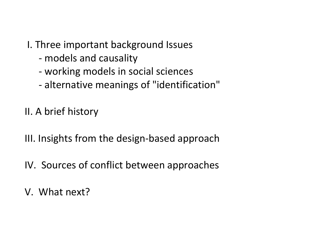# I. Three important background Issues

- ‐ models and causality
- ‐ working models in social sciences
- ‐ alternative meanings of "identification"
- II. A brief history
- III. Insights from the design‐based approach
- IV. Sources of conflict between approaches
- V. What next?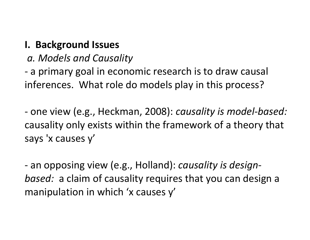#### **I. Background Issues**

*a. Models and Causality*

‐ a primary goal in economic research is to draw causal inferences. What role do models play in this process?

‐ one view (e.g., Heckman, 2008): *causality is model‐based:* causality only exists within the framework of <sup>a</sup> theory that says 'x causes y'

‐ an opposing view (e.g., Holland): *causality is design‐ based:* a claim of causality requires that you can design <sup>a</sup> manipulation in which 'x causes y'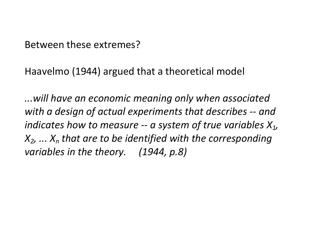Between these extremes?

Haavelmo (1944) argued that <sup>a</sup> theoretical model

*...will have an economic meaning only when associated with <sup>a</sup> design of actual experiments that describes ‐‐ and indicates how to measure ‐‐ <sup>a</sup> system of true variables X1, X2, ... Xn that are to be identified with the corresponding variables in the theory. (1944, p.8)*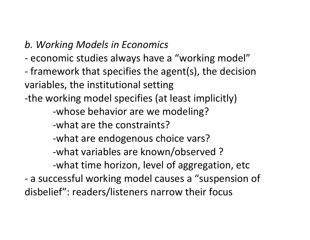#### *b. Working Models in Economics*

- ‐ economic studies always have <sup>a</sup> "working model"
- ‐ framework that specifies the agent(s), the decision variables, the institutional setting
- ‐the working model specifies (at least implicitly)

‐whose behavior are we modeling?

‐what are the constraints?

‐what are endogenous choice vars?

‐what variables are known/observed ?

‐what time horizon, level of aggregation, etc

‐ a successful working model causes <sup>a</sup> "suspension of disbelief": readers/listeners narrow their focus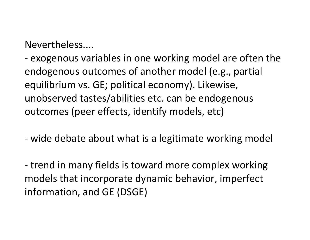Nevertheless....

‐ exogenous variables in one working model are often the endogenous outcomes of another model (e.g., partial equilibrium vs. GE; political economy). Likewise, unobserved tastes/abilities etc. can be endogenous outcomes (peer effects, identify models, etc)

‐ wide debate about what is <sup>a</sup> legitimate working model

‐ trend in many fields is toward more complex working models that incorporate dynamic behavior, imperfect information, and GE (DSGE)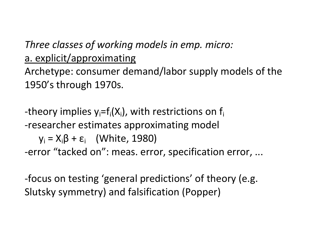# *Three classes of working models in emp. micro:* a. explicit/approximating

Archetype: consumer demand/labor supply models of the 1950's through 1970s.

-theory implies  $y_i = f_i(X_i)$ , with restrictions on  $f_i$ ‐researcher estimates approximating model  $y_i = X_i \beta + \varepsilon_i$  (White, 1980) ‐error "tacked on": meas. error, specification error, ...

‐focus on testing 'general predictions' of theory (e.g. Slutsky symmetry) and falsification (Popper)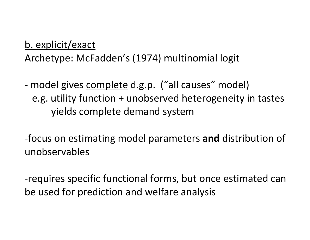## b. explicit/exact

Archetype: McFadden's (1974) multinomial logit

- model gives complete d.g.p. ("all causes" model) e.g. utility function <sup>+</sup> unobserved heterogeneity in tastes yields complete demand system

‐focus on estimating model parameters **and** distribution of unobservables

‐requires specific functional forms, but once estimated can be used for prediction and welfare analysis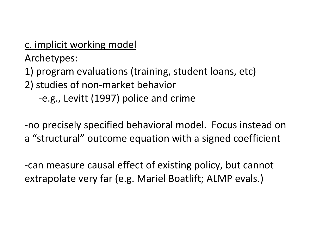c. implicit working model Archetypes:

1) program evaluations (training, student loans, etc)

2) studies of non‐market behavior

‐e.g., Levitt (1997) police and crime

‐no precisely specified behavioral model. Focus instead on a "structural" outcome equation with <sup>a</sup> signed coefficient

‐can measure causal effect of existing policy, but cannot extrapolate very far (e.g. Mariel Boatlift; ALMP evals.)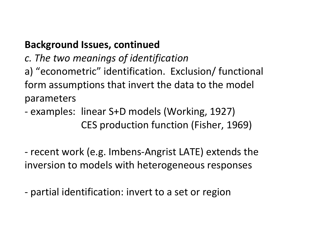# **Background Issues, continued**

*c. The two meanings of identification*

a) "econometric" identification. Exclusion/ functional form assumptions that invert the data to the model parameters

‐ examples: linear S+D models (Working, 1927) CES production function (Fisher, 1969)

‐ recent work (e.g. Imbens‐Angrist LATE) extends the inversion to models with heterogeneous responses

‐ partial identification: invert to <sup>a</sup> set or region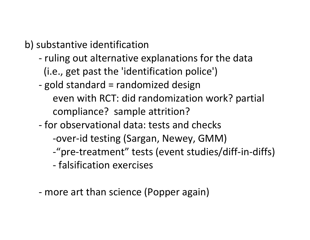b) substantive identification

- ‐ ruling out alternative explanations for the data (i.e., get past the 'identification police')
- ‐ gold standard <sup>=</sup> randomized design
	- even with RCT: did randomization work? partial compliance? sample attrition?
- ‐ for observational data: tests and checks
- ‐over‐id testing (Sargan, Newey, GMM)
	- ‐"pre‐treatment" tests (event studies/diff‐in‐diffs)
	- ‐ falsification exercises
	- ‐ more art than science (Popper again)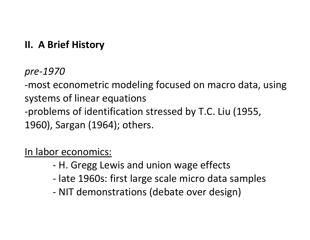# **II. A Brief History**

#### *pre‐1970*

‐most econometric modeling focused on macro data, using systems of linear equations ‐problems of identification stressed by T.C. Liu (1955, 1960), Sargan (1964); others.

# In labor economics:

- ‐ H. Gregg Lewis and union wage effects
- ‐ late 1960s: first large scale micro data samples
- ‐ NIT demonstrations (debate over design)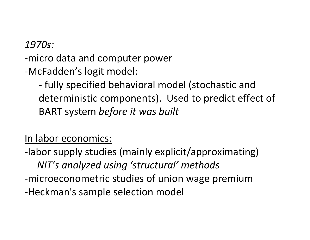#### *1970s:*

‐micro data and computer power

‐McFadden's logit model:

‐ fully specified behavioral model (stochastic and deterministic components). Used to predict effect of BART system *before it was built*

#### In labor economics:

‐labor supply studies (mainly explicit/approximating) *NIT's analyzed using 'structural' methods* ‐microeconometric studies of union wage premium ‐Heckman's sample selection model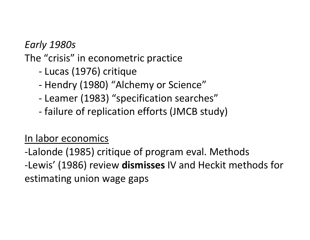*Early 1980s*

The "crisis" in econometric practice

- ‐ Lucas (1976) critique
- ‐ Hendry (1980) "Alchemy or Science"
- ‐ Leamer (1983) "specification searches"
- ‐ failure of replication efforts (JMCB study)

### In labor economics

‐Lalonde (1985) critique of program eval. Methods ‐Lewis' (1986) review **dismisses** IV and Heckit methods for estimating union wage gaps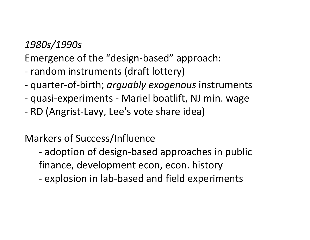#### *1980s/1990s*

Emergence of the "design‐based" approach:

- ‐ random instruments (draft lottery)
- ‐ quarter‐of‐birth; *arguably exogenous* instruments
- ‐ quasi‐experiments ‐ Mariel boatlift, NJ min. wage
- ‐ RD (Angrist‐Lavy, Lee's vote share idea)

### Markers of Success/Influence

- ‐ adoption of design‐based approaches in public finance, development econ, econ. history
- ‐ explosion in lab‐based and field experiments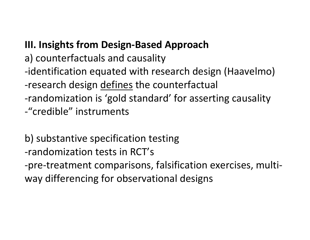## **III. Insights from Design‐Based Approach**

- a) counterfactuals and causality
- ‐identification equated with research design (Haavelmo)
- -research design <u>defines</u> the counterfactual
- ‐randomization is 'gold standard' for asserting causality
- ‐"credible" instruments

b) substantive specification testing ‐randomization tests in RCT's ‐pre‐treatment comparisons, falsification exercises, multi‐ way differencing for observational designs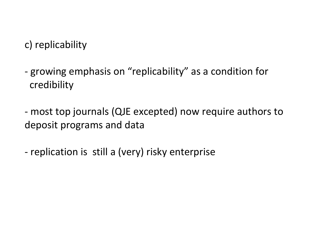c) replicability

- ‐ growing emphasis on "replicability" as <sup>a</sup> condition for credibility
- ‐ most top journals (QJE excepted) now require authors to deposit programs and data
- ‐ replication is still <sup>a</sup> (very) risky enterprise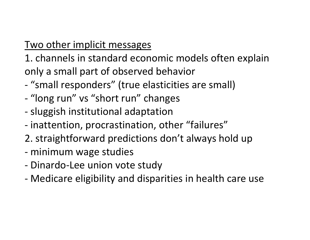# Two other implicit messages

1. channels in standard economic models often explain only <sup>a</sup> small part of observed behavior

- ‐ "small responders" (true elasticities are small)
- ‐ "long run" vs "short run" changes
- ‐ sluggish institutional adaptation
- ‐ inattention, procrastination, other "failures"
- 2. straightforward predictions don't always hold up
- ‐ minimum wage studies
- ‐ Dinardo‐Lee union vote study
- ‐ Medicare eligibility and disparities in health care use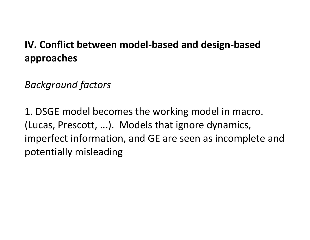# **IV. Conflict between model‐based and design‐based approaches**

# *Background factors*

1. DSGE model becomes the working model in macro. (Lucas, Prescott, ...). Models that ignore dynamics, imperfect information, and GE are seen as incomplete and potentially misleading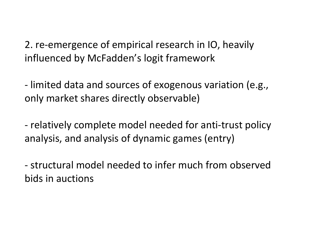2. re‐emergence of empirical research in IO, heavily influenced by McFadden's logit framework

‐ limited data and sources of exogenous variation (e.g., only market shares directly observable)

‐ relatively complete model needed for anti‐trust policy analysis, and analysis of dynamic games (entry)

‐ structural model needed to infer much from observed bids in auctions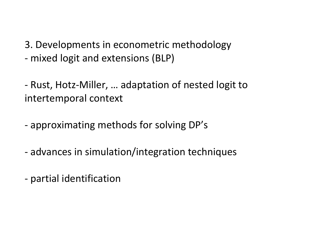3. Developments in econometric methodology ‐ mixed logit and extensions (BLP)

‐ Rust, Hotz‐Miller, … adaptation of nested logit to intertemporal context

- ‐ approximating methods for solving DP's
- ‐ advances in simulation/integration techniques
- ‐ partial identification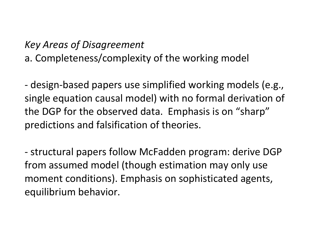#### *Key Areas of Disagreement*

a. Completeness/complexity of the working model

‐ design‐based papers use simplified working models (e.g., single equation causal model) with no formal derivation of the DGP for the observed data. Emphasis is on "sharp" predictions and falsification of theories.

‐ structural papers follow McFadden program: derive DGP from assumed model (though estimation may only use moment conditions). Emphasis on sophisticated agents, equilibrium behavior.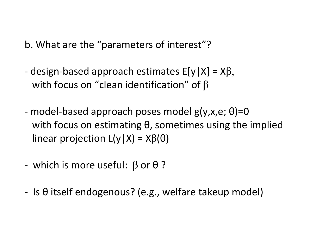b. What are the "parameters of interest"?

- design-based approach estimates  $E[y|X] = X\beta$ , with focus on "clean identification" of  $\beta$
- ‐ model‐based approach poses model g(y,x,e; θ)=0 with focus on estimating θ, sometimes using the implied linear projection L(y|X) = X $\beta(\theta)$
- ‐ which is more useful: β or θ ?
- ‐ Is θ itself endogenous? (e.g., welfare takeup model)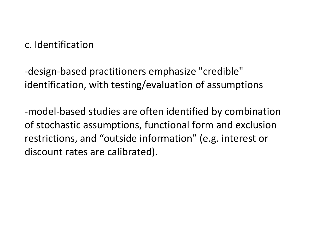c. Identification

 ‐design‐based practitioners emphasize "credible" identification, with testing/evaluation of assumptions

‐model‐based studies are often identified by combination of stochastic assumptions, functional form and exclusion restrictions, and "outside information" (e.g. interest or discount rates are calibrated).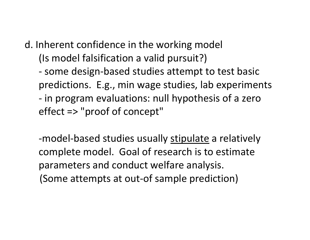d. Inherent confidence in the working model (Is model falsification <sup>a</sup> valid pursuit?)

 ‐ some design‐based studies attempt to test basic predictions. E.g., min wage studies, lab experiments ‐ in program evaluations: null hypothesis of <sup>a</sup> zero effect => "proof of concept"

-model-based studies usually stipulate a relatively complete model. Goal of research is to estimate parameters and conduct welfare analysis. (Some attempts at out‐of sample prediction)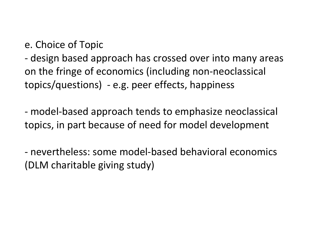e. Choice of Topic

‐ design based approach has crossed over into many areas on the fringe of economics (including non‐neoclassical topics/questions) ‐ e.g. peer effects, happiness

‐ model‐based approach tends to emphasize neoclassical topics, in part because of need for model development

‐ nevertheless: some model‐based behavioral economics (DLM charitable giving study)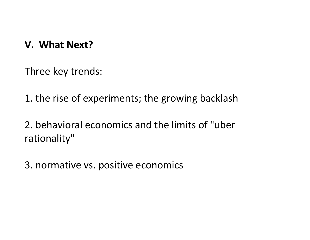#### **V. What Next?**

Three key trends:

1. the rise of experiments; the growing backlash

2. behavioral economics and the limits of "uber rationality"

3. normative vs. positive economics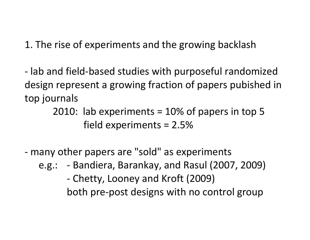1. The rise of experiments and the growing backlash

‐ lab and field‐based studies with purposeful randomized design represent <sup>a</sup> growing fraction of papers pubished in top journals

> 2010: lab experiments <sup>=</sup> 10% of papers in top 5 field experiments <sup>=</sup> 2.5%

‐ many other papers are "sold" as experiments

e.g.: ‐ Bandiera, Barankay, and Rasul (2007, 2009) ‐ Chetty, Looney and Kroft (2009) both pre‐post designs with no control group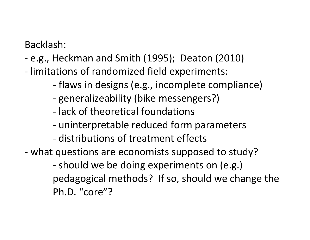Backlash:

- ‐ e.g., Heckman and Smith (1995); Deaton (2010)
- ‐ limitations of randomized field experiments:
	- ‐ flaws in designs (e.g., incomplete compliance)
	- ‐ generalizeability (bike messengers?)
	- ‐ lack of theoretical foundations
	- ‐ uninterpretable reduced form parameters
	- ‐ distributions of treatment effects
- ‐ what questions are economists supposed to study?

 ‐ should we be doing experiments on (e.g.) pedagogical methods? If so, should we change the Ph.D. "core"?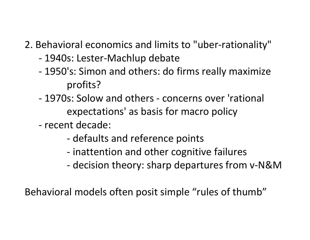# 2. Behavioral economics and limits to "uber‐rationality"

- ‐ 1940s: Lester‐Machlup debate
- ‐ 1950's: Simon and others: do firms really maximize profits?
- ‐ 1970s: Solow and others ‐ concerns over 'rational expectations' as basis for macro policy
- ‐ recent decade:
	- ‐ defaults and reference points
	- ‐ inattention and other cognitive failures
	- ‐ decision theory: sharp departures from <sup>v</sup>‐N&M

Behavioral models often posit simple "rules of thumb"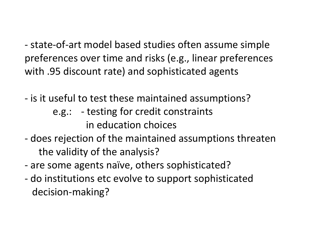‐ state‐of‐art model based studies often assume simple preferences over time and risks (e.g., linear preferences with .95 discount rate) and sophisticated agents

- ‐ is it useful to test these maintained assumptions?
	- e.g.: ‐ testing for credit constraints in education choices
- ‐ does rejection of the maintained assumptions threaten the validity of the analysis?
- ‐ are some agents naïve, others sophisticated?
- ‐ do institutions etc evolve to support sophisticated decision‐making?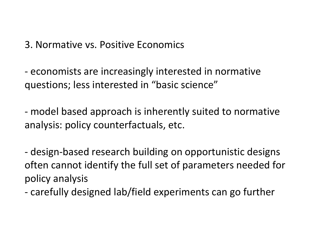3. Normative vs. Positive Economics

‐ economists are increasingly interested in normative questions; less interested in "basic science"

‐ model based approach is inherently suited to normative analysis: policy counterfactuals, etc.

‐ design‐based research building on opportunistic designs often cannot identify the full set of parameters needed for policy analysis

‐ carefully designed lab/field experiments can go further